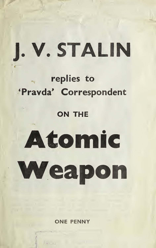## J.V.STALIN

## replies to 'Pravda' Correspondent

### **ON THE**

# **Atomic** Weapon

**ONE PENNY**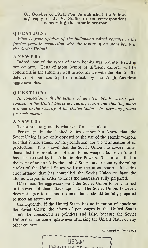#### On October 6, 1951, Pravda published the following reply of J. V. Stalin to its correspondent concerning the atomic weapon

#### QUESTION:

What is your opinion of the hullabaloo raised recently in the foreign press in connection with the testing of an atom bomb in the Soviet Union?

#### ANSWER:

Indeed, one of the types of atom bombs was recently tested in our country. Tests of atom bombs of different calibres will be conducted, in the future as well in accordance with the plan for the defence of our country from attack by the Anglo-American aggressive bloc.

#### QUESTION:

In connection with the testing of an atom bomb various personages in the United States are raising alarm and shouting about a threat to the security of the United States. Is there any ground for such alarm?

#### ANSWER:

There are no grounds whatever for such alarm.

Personages in the United States cannot but know that the Soviet Union is not only opposed to the use of the atomic weapon, but that it also stands for its prohibition, for the termination of its production. It is known that the Soviet Union has several times demanded the prohibition of the atomic weapon but each time it has been refused by the Atlantic bloc Powers. This means that in the event of an attack by the United States on our country the ruling circles of the United States will use the atom bomb. It is this circumstance that has compelled the Soviet Union to have the atomic weapon in order to meet the aggressors fully prepared.

Of course, the aggressors want the Soviet Union to be unarmed in the event of their attack upon it. The Soviet Union, however, does not agree to this and it thinks that it should be fully prepared to meet an aggressor.

Consequently, if the United States has no intention of attacking the Soviet Union, the alarm of personages in the United States should be considered as pointless and false, because the Soviet Union does not contemplate ever attacking the United States or any other country.

continued on back page

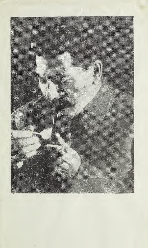